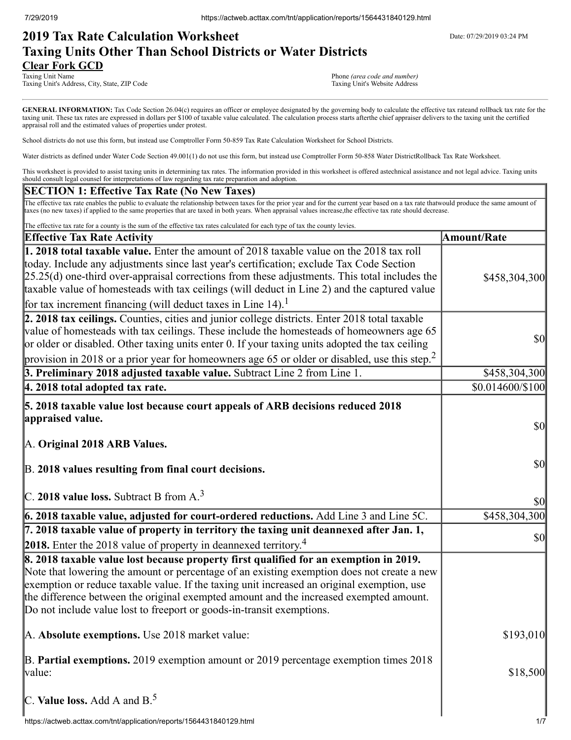# **2019 Tax Rate Calculation Worksheet** Department Date: 07/29/2019 03:24 PM **Taxing Units Other Than School Districts or Water Districts Clear Fork GCD**<br>Taxing Unit Name

Taxing Unit's Address, City, State, ZIP Code

Phone *(area code and number)*<br>Taxing Unit's Website Address

GENERAL INFORMATION: Tax Code Section 26.04(c) requires an officer or employee designated by the governing body to calculate the effective tax rateand rollback tax rate for the taxing unit. These tax rates are expressed in dollars per \$100 of taxable value calculated. The calculation process starts afterthe chief appraiser delivers to the taxing unit the certified appraisal roll and the estimated values of properties under protest.

School districts do not use this form, but instead use Comptroller Form 50-859 Tax Rate Calculation Worksheet for School Districts.

Water districts as defined under Water Code Section 49.001(1) do not use this form, but instead use Comptroller Form 50-858 Water DistrictRollback Tax Rate Worksheet.

This worksheet is provided to assist taxing units in determining tax rates. The information provided in this worksheet is offered astechnical assistance and not legal advice. Taxing units should consult legal counsel for interpretations of law regarding tax rate preparation and adoption.

### **SECTION 1: Effective Tax Rate (No New Taxes)**

The effective tax rate enables the public to evaluate the relationship between taxes for the prior year and for the current year based on a tax rate thatwould produce the same amount of taxes (no new taxes) if applied to the same properties that are taxed in both years. When appraisal values increase,the effective tax rate should decrease.

| The effective tax rate for a county is the sum of the effective tax rates calculated for each type of tax the county levies.                                                                                                                                                                                                                                                                                                                                         |                                     |
|----------------------------------------------------------------------------------------------------------------------------------------------------------------------------------------------------------------------------------------------------------------------------------------------------------------------------------------------------------------------------------------------------------------------------------------------------------------------|-------------------------------------|
| <b>Effective Tax Rate Activity</b>                                                                                                                                                                                                                                                                                                                                                                                                                                   | <b>Amount/Rate</b>                  |
| 1. 2018 total taxable value. Enter the amount of 2018 taxable value on the 2018 tax roll<br>today. Include any adjustments since last year's certification; exclude Tax Code Section<br>$[25.25(d)$ one-third over-appraisal corrections from these adjustments. This total includes the<br>taxable value of homesteads with tax ceilings (will deduct in Line 2) and the captured value<br>for tax increment financing (will deduct taxes in Line 14). <sup>1</sup> | \$458,304,300                       |
| 2. 2018 tax ceilings. Counties, cities and junior college districts. Enter 2018 total taxable<br>value of homesteads with tax ceilings. These include the homesteads of homeowners age 65<br>or older or disabled. Other taxing units enter 0. If your taxing units adopted the tax ceiling<br>provision in 2018 or a prior year for homeowners age 65 or older or disabled, use this step. <sup>2</sup>                                                             | $\frac{1}{2}$                       |
| 3. Preliminary 2018 adjusted taxable value. Subtract Line 2 from Line 1.                                                                                                                                                                                                                                                                                                                                                                                             | \$458,304,300                       |
| 4. 2018 total adopted tax rate.                                                                                                                                                                                                                                                                                                                                                                                                                                      | \$0.014600/\$100                    |
| 5. 2018 taxable value lost because court appeals of ARB decisions reduced 2018<br>appraised value.<br>A. Original 2018 ARB Values.                                                                                                                                                                                                                                                                                                                                   | $\vert \mathbf{S} \mathbf{O} \vert$ |
| B. 2018 values resulting from final court decisions.<br>C. 2018 value loss. Subtract B from $A3$                                                                                                                                                                                                                                                                                                                                                                     | $\vert \mathbf{S} \mathbf{0} \vert$ |
|                                                                                                                                                                                                                                                                                                                                                                                                                                                                      | $\vert \mathbf{S} \mathbf{O} \vert$ |
| 6. 2018 taxable value, adjusted for court-ordered reductions. Add Line 3 and Line 5C.                                                                                                                                                                                                                                                                                                                                                                                | \$458,304,300                       |
| 7. 2018 taxable value of property in territory the taxing unit deannexed after Jan. 1,<br>2018. Enter the 2018 value of property in deannexed territory. <sup>4</sup>                                                                                                                                                                                                                                                                                                | $\vert \mathbf{S} \mathbf{O} \vert$ |
| 8. 2018 taxable value lost because property first qualified for an exemption in 2019.<br>Note that lowering the amount or percentage of an existing exemption does not create a new<br>exemption or reduce taxable value. If the taxing unit increased an original exemption, use<br>the difference between the original exempted amount and the increased exempted amount.<br>Do not include value lost to freeport or goods-in-transit exemptions.                 |                                     |
| A. Absolute exemptions. Use 2018 market value:                                                                                                                                                                                                                                                                                                                                                                                                                       | \$193,010                           |
| B. Partial exemptions. 2019 exemption amount or 2019 percentage exemption times 2018<br>value:                                                                                                                                                                                                                                                                                                                                                                       | \$18,500                            |
| C. Value loss. Add A and $B^5$ .                                                                                                                                                                                                                                                                                                                                                                                                                                     |                                     |
| https://actweb.acttax.com/tnt/application/reports/1564431840129.html                                                                                                                                                                                                                                                                                                                                                                                                 | 1/7                                 |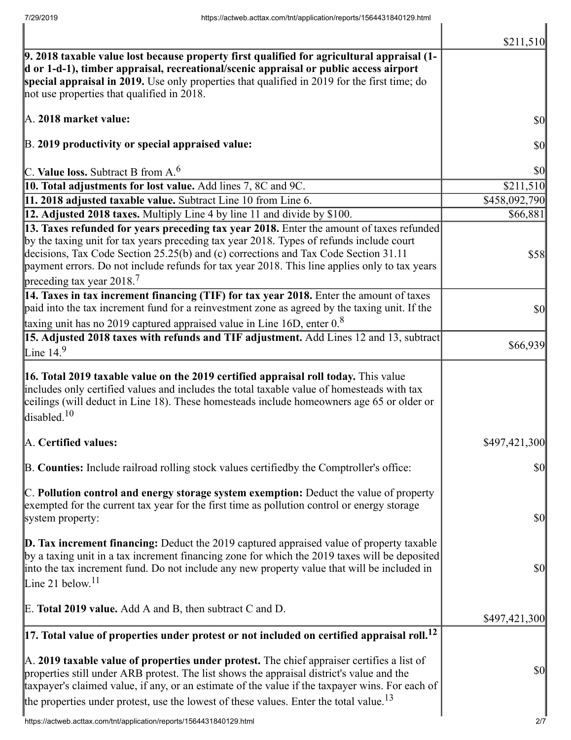|                                                                                                                                                                                                                                                                                                                                                                                                             | \$211,510                           |
|-------------------------------------------------------------------------------------------------------------------------------------------------------------------------------------------------------------------------------------------------------------------------------------------------------------------------------------------------------------------------------------------------------------|-------------------------------------|
| $\vert$ 9. 2018 taxable value lost because property first qualified for agricultural appraisal (1-<br>d or 1-d-1), timber appraisal, recreational/scenic appraisal or public access airport<br>special appraisal in 2019. Use only properties that qualified in 2019 for the first time; do<br>not use properties that qualified in 2018.                                                                   |                                     |
| A. 2018 market value:                                                                                                                                                                                                                                                                                                                                                                                       | \$0                                 |
| B. 2019 productivity or special appraised value:                                                                                                                                                                                                                                                                                                                                                            | \$0                                 |
| C. Value loss. Subtract B from $A6$                                                                                                                                                                                                                                                                                                                                                                         | \$0                                 |
| 10. Total adjustments for lost value. Add lines 7, 8C and 9C.                                                                                                                                                                                                                                                                                                                                               | \$211,510                           |
| 11. 2018 adjusted taxable value. Subtract Line 10 from Line 6.                                                                                                                                                                                                                                                                                                                                              | \$458,092,790                       |
| 12. Adjusted 2018 taxes. Multiply Line 4 by line 11 and divide by \$100.                                                                                                                                                                                                                                                                                                                                    | \$66,881                            |
| 13. Taxes refunded for years preceding tax year 2018. Enter the amount of taxes refunded<br>by the taxing unit for tax years preceding tax year 2018. Types of refunds include court<br>decisions, Tax Code Section 25.25(b) and (c) corrections and Tax Code Section 31.11<br>payment errors. Do not include refunds for tax year 2018. This line applies only to tax years<br>preceding tax year $2018.7$ | <b>\$58</b>                         |
| 14. Taxes in tax increment financing (TIF) for tax year 2018. Enter the amount of taxes<br>paid into the tax increment fund for a reinvestment zone as agreed by the taxing unit. If the<br>taxing unit has no 2019 captured appraised value in Line 16D, enter $0.8$                                                                                                                                       | \$0                                 |
| 15. Adjusted 2018 taxes with refunds and TIF adjustment. Add Lines 12 and 13, subtract                                                                                                                                                                                                                                                                                                                      |                                     |
| Line $14.9$                                                                                                                                                                                                                                                                                                                                                                                                 | \$66,939                            |
| <b>16. Total 2019 taxable value on the 2019 certified appraisal roll today.</b> This value<br>includes only certified values and includes the total taxable value of homesteads with tax<br>ceilings (will deduct in Line 18). These homesteads include homeowners age 65 or older or<br>disabled. <sup>10</sup>                                                                                            |                                     |
| A. Certified values:                                                                                                                                                                                                                                                                                                                                                                                        | \$497,421,300                       |
| B. Counties: Include railroad rolling stock values certifiedby the Comptroller's office:                                                                                                                                                                                                                                                                                                                    | \$0                                 |
| C. Pollution control and energy storage system exemption: Deduct the value of property<br>exempted for the current tax year for the first time as pollution control or energy storage<br>system property:                                                                                                                                                                                                   | $\vert \mathbf{S} \mathbf{O} \vert$ |
| D. Tax increment financing: Deduct the 2019 captured appraised value of property taxable<br>by a taxing unit in a tax increment financing zone for which the 2019 taxes will be deposited<br>into the tax increment fund. Do not include any new property value that will be included in<br>Line 21 below. <sup>11</sup>                                                                                    | \$0                                 |
| E. Total 2019 value. Add A and B, then subtract C and D.                                                                                                                                                                                                                                                                                                                                                    | \$497,421,300                       |
| $\vert$ 17. Total value of properties under protest or not included on certified appraisal roll. <sup>12</sup>                                                                                                                                                                                                                                                                                              |                                     |
| A. 2019 taxable value of properties under protest. The chief appraiser certifies a list of<br>properties still under ARB protest. The list shows the appraisal district's value and the<br>taxpayer's claimed value, if any, or an estimate of the value if the taxpayer wins. For each of<br>the properties under protest, use the lowest of these values. Enter the total value. <sup>13</sup>            | \$0                                 |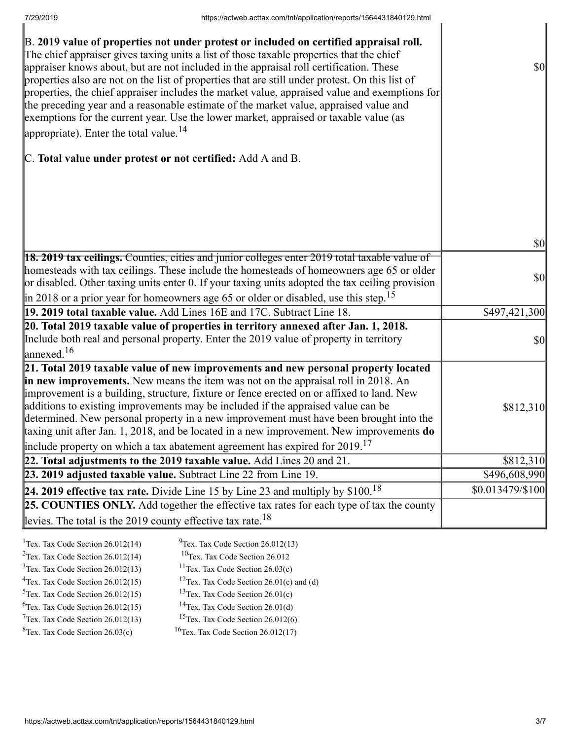| B. 2019 value of properties not under protest or included on certified appraisal roll.<br>The chief appraiser gives taxing units a list of those taxable properties that the chief<br>appraiser knows about, but are not included in the appraisal roll certification. These<br>properties also are not on the list of properties that are still under protest. On this list of<br>properties, the chief appraiser includes the market value, appraised value and exemptions for<br>the preceding year and a reasonable estimate of the market value, appraised value and<br>exemptions for the current year. Use the lower market, appraised or taxable value (as<br>appropriate). Enter the total value. <sup>14</sup> | $\sqrt{50}$                         |
|--------------------------------------------------------------------------------------------------------------------------------------------------------------------------------------------------------------------------------------------------------------------------------------------------------------------------------------------------------------------------------------------------------------------------------------------------------------------------------------------------------------------------------------------------------------------------------------------------------------------------------------------------------------------------------------------------------------------------|-------------------------------------|
| C. Total value under protest or not certified: Add A and B.                                                                                                                                                                                                                                                                                                                                                                                                                                                                                                                                                                                                                                                              |                                     |
|                                                                                                                                                                                                                                                                                                                                                                                                                                                                                                                                                                                                                                                                                                                          |                                     |
|                                                                                                                                                                                                                                                                                                                                                                                                                                                                                                                                                                                                                                                                                                                          | $\vert \mathbf{S} \mathbf{0} \vert$ |
| $\left 18.2019 \right $ tax ceilings. Counties, cities and junior colleges enter 2019 total taxable value of<br>homesteads with tax ceilings. These include the homesteads of homeowners age 65 or older<br>or disabled. Other taxing units enter 0. If your taxing units adopted the tax ceiling provision<br>$\parallel$ in 2018 or a prior year for homeowners age 65 or older or disabled, use this step. <sup>15</sup>                                                                                                                                                                                                                                                                                              | $\vert \mathbf{S} \mathbf{0} \vert$ |
| 19. 2019 total taxable value. Add Lines 16E and 17C. Subtract Line 18.                                                                                                                                                                                                                                                                                                                                                                                                                                                                                                                                                                                                                                                   | \$497,421,300                       |
| 20. Total 2019 taxable value of properties in territory annexed after Jan. 1, 2018.<br>Include both real and personal property. Enter the 2019 value of property in territory<br>$\lvert$ annexed. <sup>16</sup>                                                                                                                                                                                                                                                                                                                                                                                                                                                                                                         | $\sqrt{50}$                         |
| 21. Total 2019 taxable value of new improvements and new personal property located<br>in new improvements. New means the item was not on the appraisal roll in 2018. An<br>improvement is a building, structure, fixture or fence erected on or affixed to land. New<br>additions to existing improvements may be included if the appraised value can be<br>determined. New personal property in a new improvement must have been brought into the<br>taxing unit after Jan. 1, 2018, and be located in a new improvement. New improvements do<br>include property on which a tax abatement agreement has expired for $2019$ . <sup>17</sup>                                                                             | \$812,310                           |
| 22. Total adjustments to the 2019 taxable value. Add Lines 20 and 21.                                                                                                                                                                                                                                                                                                                                                                                                                                                                                                                                                                                                                                                    | \$812,310                           |
| 23. 2019 adjusted taxable value. Subtract Line 22 from Line 19.                                                                                                                                                                                                                                                                                                                                                                                                                                                                                                                                                                                                                                                          | \$496,608,990                       |
| 24. 2019 effective tax rate. Divide Line 15 by Line 23 and multiply by $$100.18$                                                                                                                                                                                                                                                                                                                                                                                                                                                                                                                                                                                                                                         | \$0.013479/\$100                    |
| 25. COUNTIES ONLY. Add together the effective tax rates for each type of tax the county                                                                                                                                                                                                                                                                                                                                                                                                                                                                                                                                                                                                                                  |                                     |
| levies. The total is the 2019 county effective tax rate. <sup>18</sup>                                                                                                                                                                                                                                                                                                                                                                                                                                                                                                                                                                                                                                                   |                                     |
|                                                                                                                                                                                                                                                                                                                                                                                                                                                                                                                                                                                                                                                                                                                          |                                     |

| <sup>1</sup> Tex. Tax Code Section $26.012(14)$ | $^{9}$ Tex. Tax Code Section 26.012(13)              |
|-------------------------------------------------|------------------------------------------------------|
| <sup>2</sup> Tex. Tax Code Section $26.012(14)$ | <sup>10</sup> Tex. Tax Code Section 26.012           |
| $3$ Tex. Tax Code Section 26.012(13)            | <sup>11</sup> Tex. Tax Code Section $26.03(c)$       |
| $4$ Tex. Tax Code Section 26.012(15)            | <sup>12</sup> Tex. Tax Code Section 26.01(c) and (d) |
| $5$ Tex. Tax Code Section 26.012(15)            | <sup>13</sup> Tex. Tax Code Section $26.01(c)$       |
| ${}^{6}$ Tex. Tax Code Section 26.012(15)       | <sup>14</sup> Tex. Tax Code Section $26.01(d)$       |
| $7$ Tex. Tax Code Section 26.012(13)            | <sup>15</sup> Tex. Tax Code Section $26.012(6)$      |
| ${}^{8}$ Tex. Tax Code Section 26.03(c)         | <sup>16</sup> Tex. Tax Code Section $26.012(17)$     |
|                                                 |                                                      |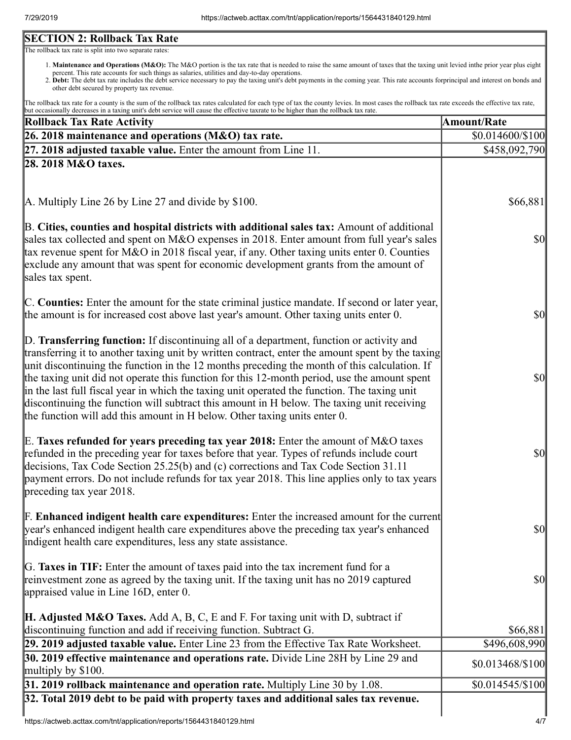## **SECTION 2: Rollback Tax Rate**

The rollback tax rate is split into two separate rates:

- 1. Maintenance and Operations (M&O): The M&O portion is the tax rate that is needed to raise the same amount of taxes that the taxing unit levied inthe prior year plus eight percent. This rate accounts for such things as salaries, utilities and day-to-day operations.
- 2. Debt: The debt tax rate includes the debt service necessary to pay the taxing unit's debt payments in the coming year. This rate accounts forprincipal and interest on bonds and other debt secured by property tax revenue.

The rollback tax rate for a county is the sum of the rollback tax rates calculated for each type of tax the county levies. In most cases the rollback tax rate exceeds the effective tax rate, but occasionally decreases in a taxing unit's debt service will cause the effective taxrate to be higher than the rollback tax rate.

| <b>Rollback Tax Rate Activity</b>                                                                                                                                                                                                                                                                                                                                                                                                                                                                                                                                                                                                                                       | <b>Amount/Rate</b>                  |
|-------------------------------------------------------------------------------------------------------------------------------------------------------------------------------------------------------------------------------------------------------------------------------------------------------------------------------------------------------------------------------------------------------------------------------------------------------------------------------------------------------------------------------------------------------------------------------------------------------------------------------------------------------------------------|-------------------------------------|
| 26. 2018 maintenance and operations (M&O) tax rate.                                                                                                                                                                                                                                                                                                                                                                                                                                                                                                                                                                                                                     | \$0.014600/\$100                    |
| $\left 27, 2018\right $ adjusted taxable value. Enter the amount from Line 11.                                                                                                                                                                                                                                                                                                                                                                                                                                                                                                                                                                                          | \$458,092,790                       |
| 28. 2018 M&O taxes.                                                                                                                                                                                                                                                                                                                                                                                                                                                                                                                                                                                                                                                     |                                     |
| $\vert$ A. Multiply Line 26 by Line 27 and divide by \$100.                                                                                                                                                                                                                                                                                                                                                                                                                                                                                                                                                                                                             | \$66,881                            |
| B. Cities, counties and hospital districts with additional sales tax: Amount of additional<br>sales tax collected and spent on M&O expenses in 2018. Enter amount from full year's sales<br>tax revenue spent for M&O in 2018 fiscal year, if any. Other taxing units enter 0. Counties<br>exclude any amount that was spent for economic development grants from the amount of<br>sales tax spent.                                                                                                                                                                                                                                                                     | $\vert \$\text{0}\vert$             |
| C. Counties: Enter the amount for the state criminal justice mandate. If second or later year,<br>the amount is for increased cost above last year's amount. Other taxing units enter 0.                                                                                                                                                                                                                                                                                                                                                                                                                                                                                | <b>\$0</b>                          |
| D. Transferring function: If discontinuing all of a department, function or activity and<br>transferring it to another taxing unit by written contract, enter the amount spent by the taxing<br>unit discontinuing the function in the 12 months preceding the month of this calculation. If<br>the taxing unit did not operate this function for this 12-month period, use the amount spent<br>in the last full fiscal year in which the taxing unit operated the function. The taxing unit<br>discontinuing the function will subtract this amount in H below. The taxing unit receiving<br>the function will add this amount in H below. Other taxing units enter 0. | $\vert \mathbf{S} \mathbf{0} \vert$ |
| E. Taxes refunded for years preceding tax year 2018: Enter the amount of M&O taxes<br>refunded in the preceding year for taxes before that year. Types of refunds include court<br>decisions, Tax Code Section 25.25(b) and (c) corrections and Tax Code Section 31.11<br>payment errors. Do not include refunds for tax year 2018. This line applies only to tax years<br>preceding tax year 2018.                                                                                                                                                                                                                                                                     | <b>\$0</b>                          |
| <b>F. Enhanced indigent health care expenditures:</b> Enter the increased amount for the current<br>year's enhanced indigent health care expenditures above the preceding tax year's enhanced<br>indigent health care expenditures, less any state assistance.                                                                                                                                                                                                                                                                                                                                                                                                          | $\vert \mathbf{S} \mathbf{O} \vert$ |
| G. Taxes in TIF: Enter the amount of taxes paid into the tax increment fund for a<br>reinvestment zone as agreed by the taxing unit. If the taxing unit has no 2019 captured<br>appraised value in Line 16D, enter 0.                                                                                                                                                                                                                                                                                                                                                                                                                                                   | $\vert \mathbf{S} \mathbf{O} \vert$ |
| <b>H. Adjusted M&amp;O Taxes.</b> Add A, B, C, E and F. For taxing unit with D, subtract if<br>discontinuing function and add if receiving function. Subtract G.                                                                                                                                                                                                                                                                                                                                                                                                                                                                                                        | \$66,881                            |
| 29. 2019 adjusted taxable value. Enter Line 23 from the Effective Tax Rate Worksheet.<br><b>30. 2019 effective maintenance and operations rate.</b> Divide Line 28H by Line 29 and                                                                                                                                                                                                                                                                                                                                                                                                                                                                                      | \$496,608,990<br>\$0.013468/\$100   |
| multiply by $$100$ .<br>31. 2019 rollback maintenance and operation rate. Multiply Line 30 by 1.08.                                                                                                                                                                                                                                                                                                                                                                                                                                                                                                                                                                     | $$0.014545/\$100$                   |
| 32. Total 2019 debt to be paid with property taxes and additional sales tax revenue.                                                                                                                                                                                                                                                                                                                                                                                                                                                                                                                                                                                    |                                     |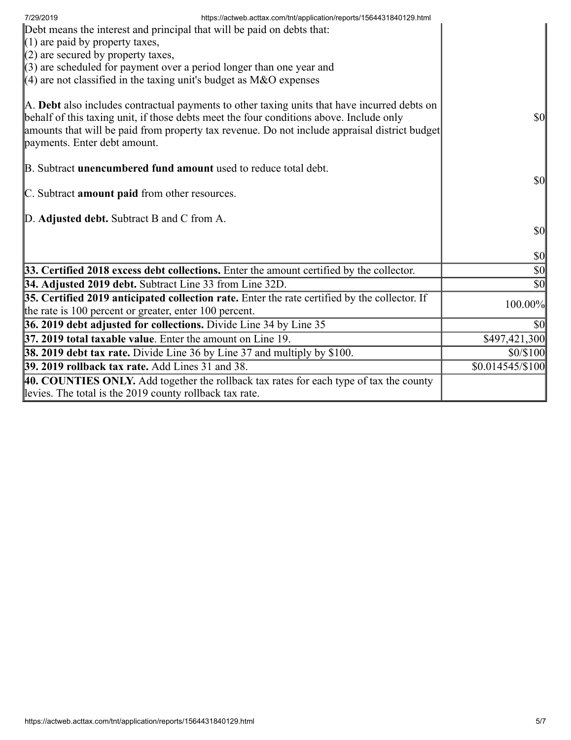| https://actweb.acttax.com/tnt/application/reports/1564431840129.html<br>7/29/2019<br>Debt means the interest and principal that will be paid on debts that:<br>$(1)$ are paid by property taxes,<br>$(2)$ are secured by property taxes,<br>$(3)$ are scheduled for payment over a period longer than one year and<br>$(4)$ are not classified in the taxing unit's budget as M&O expenses |                                     |
|--------------------------------------------------------------------------------------------------------------------------------------------------------------------------------------------------------------------------------------------------------------------------------------------------------------------------------------------------------------------------------------------|-------------------------------------|
| A. Debt also includes contractual payments to other taxing units that have incurred debts on<br>behalf of this taxing unit, if those debts meet the four conditions above. Include only<br>amounts that will be paid from property tax revenue. Do not include appraisal district budget<br>payments. Enter debt amount.                                                                   | <b>\$0</b>                          |
| B. Subtract <b>unencumbered fund amount</b> used to reduce total debt.<br>C. Subtract amount paid from other resources.                                                                                                                                                                                                                                                                    | $\vert \mathbf{S} \mathbf{O} \vert$ |
| D. Adjusted debt. Subtract B and C from A.                                                                                                                                                                                                                                                                                                                                                 | <b>\$0</b>                          |
|                                                                                                                                                                                                                                                                                                                                                                                            | $\vert \mathbf{S} \mathbf{0} \vert$ |
| 33. Certified 2018 excess debt collections. Enter the amount certified by the collector.                                                                                                                                                                                                                                                                                                   | $\vert \$\text{0}\vert$             |
| 34. Adjusted 2019 debt. Subtract Line 33 from Line 32D.                                                                                                                                                                                                                                                                                                                                    | $ 10\rangle$                        |
| 35. Certified 2019 anticipated collection rate. Enter the rate certified by the collector. If<br>the rate is 100 percent or greater, enter 100 percent.                                                                                                                                                                                                                                    | 100.00%                             |
| 36. 2019 debt adjusted for collections. Divide Line 34 by Line 35                                                                                                                                                                                                                                                                                                                          | \$0                                 |
| 37. 2019 total taxable value. Enter the amount on Line 19.                                                                                                                                                                                                                                                                                                                                 | \$497,421,300                       |
| <b>38. 2019 debt tax rate.</b> Divide Line 36 by Line 37 and multiply by \$100.                                                                                                                                                                                                                                                                                                            | \$0/\$100                           |
| <b>39. 2019 rollback tax rate.</b> Add Lines 31 and 38.                                                                                                                                                                                                                                                                                                                                    | $$0.014545/\$100$                   |
| 40. COUNTIES ONLY. Add together the rollback tax rates for each type of tax the county<br>levies. The total is the 2019 county rollback tax rate.                                                                                                                                                                                                                                          |                                     |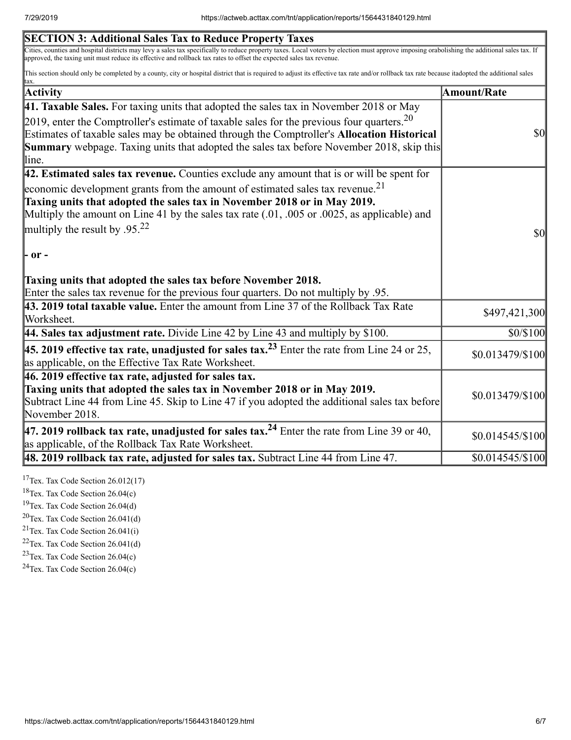| <b>SECTION 3: Additional Sales Tax to Reduce Property Taxes</b>                                                                                                                                                                                                                                                      |                   |
|----------------------------------------------------------------------------------------------------------------------------------------------------------------------------------------------------------------------------------------------------------------------------------------------------------------------|-------------------|
| Cities, counties and hospital districts may levy a sales tax specifically to reduce property taxes. Local voters by election must approve imposing orabolishing the additional sales tax. If<br>approved, the taxing unit must reduce its effective and rollback tax rates to offset the expected sales tax revenue. |                   |
| This section should only be completed by a county, city or hospital district that is required to adjust its effective tax rate and/or rollback tax rate because itadopted the additional sales<br>tax.                                                                                                               |                   |
| Activity                                                                                                                                                                                                                                                                                                             | Amount/Rate       |
| 41. Taxable Sales. For taxing units that adopted the sales tax in November 2018 or May                                                                                                                                                                                                                               |                   |
| 2019, enter the Comptroller's estimate of taxable sales for the previous four quarters. $20$                                                                                                                                                                                                                         |                   |
| Estimates of taxable sales may be obtained through the Comptroller's Allocation Historical                                                                                                                                                                                                                           | $\sqrt{50}$       |
| <b>Summary</b> webpage. Taxing units that adopted the sales tax before November 2018, skip this                                                                                                                                                                                                                      |                   |
| line.                                                                                                                                                                                                                                                                                                                |                   |
| 42. Estimated sales tax revenue. Counties exclude any amount that is or will be spent for                                                                                                                                                                                                                            |                   |
| economic development grants from the amount of estimated sales tax revenue. <sup>21</sup>                                                                                                                                                                                                                            |                   |
| Taxing units that adopted the sales tax in November 2018 or in May 2019.                                                                                                                                                                                                                                             |                   |
| Multiply the amount on Line 41 by the sales tax rate $(.01, .005)$ or $.0025$ , as applicable) and                                                                                                                                                                                                                   |                   |
| multiply the result by .95. <sup>22</sup>                                                                                                                                                                                                                                                                            | $\frac{1}{2}$     |
| - or -                                                                                                                                                                                                                                                                                                               |                   |
| Taxing units that adopted the sales tax before November 2018.                                                                                                                                                                                                                                                        |                   |
| Enter the sales tax revenue for the previous four quarters. Do not multiply by .95.                                                                                                                                                                                                                                  |                   |
| 43. 2019 total taxable value. Enter the amount from Line 37 of the Rollback Tax Rate                                                                                                                                                                                                                                 | \$497,421,300     |
| Worksheet.                                                                                                                                                                                                                                                                                                           |                   |
| 44. Sales tax adjustment rate. Divide Line 42 by Line 43 and multiply by \$100.                                                                                                                                                                                                                                      | \$0/\$100         |
| <b>45. 2019 effective tax rate, unadjusted for sales tax.</b> <sup>23</sup> Enter the rate from Line 24 or 25,<br>as applicable, on the Effective Tax Rate Worksheet.                                                                                                                                                | \$0.013479/\$100  |
| 46. 2019 effective tax rate, adjusted for sales tax.                                                                                                                                                                                                                                                                 |                   |
| Taxing units that adopted the sales tax in November 2018 or in May 2019.                                                                                                                                                                                                                                             | \$0.013479/\$100  |
| Subtract Line 44 from Line 45. Skip to Line 47 if you adopted the additional sales tax before                                                                                                                                                                                                                        |                   |
| November 2018.                                                                                                                                                                                                                                                                                                       |                   |
| 47. 2019 rollback tax rate, unadjusted for sales tax. <sup>24</sup> Enter the rate from Line 39 or 40,<br>as applicable, of the Rollback Tax Rate Worksheet.                                                                                                                                                         | $$0.014545/\$100$ |
| 48. 2019 rollback tax rate, adjusted for sales tax. Subtract Line 44 from Line 47.                                                                                                                                                                                                                                   | \$0.014545/\$100  |
|                                                                                                                                                                                                                                                                                                                      |                   |

<sup>17</sup>Tex. Tax Code Section  $26.012(17)$ 

<sup>18</sup>Tex. Tax Code Section 26.04(c)

<sup>19</sup>Tex. Tax Code Section  $26.04(d)$ 

 $20$ Tex. Tax Code Section 26.041(d)

<sup>21</sup>Tex. Tax Code Section  $26.041(i)$ 

 $22$ Tex. Tax Code Section 26.041(d)

<sup>23</sup>Tex. Tax Code Section  $26.04(c)$ 

 $24$ Tex. Tax Code Section 26.04(c)